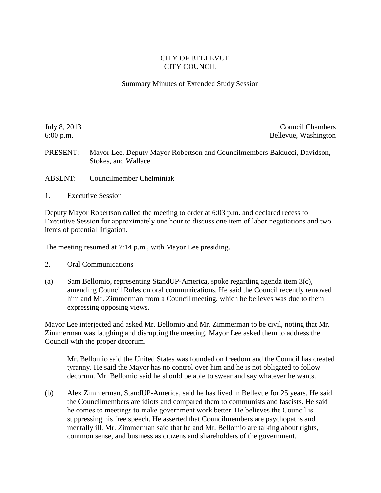## CITY OF BELLEVUE CITY COUNCIL

## Summary Minutes of Extended Study Session

July 8, 2013 Council Chambers 6:00 p.m. Bellevue, Washington

PRESENT: Mayor Lee, Deputy Mayor Robertson and Councilmembers Balducci, Davidson, Stokes, and Wallace

- ABSENT: Councilmember Chelminiak
- 1. Executive Session

Deputy Mayor Robertson called the meeting to order at 6:03 p.m. and declared recess to Executive Session for approximately one hour to discuss one item of labor negotiations and two items of potential litigation.

The meeting resumed at 7:14 p.m., with Mayor Lee presiding.

- 2. Oral Communications
- (a) Sam Bellomio, representing StandUP-America, spoke regarding agenda item 3(c), amending Council Rules on oral communications. He said the Council recently removed him and Mr. Zimmerman from a Council meeting, which he believes was due to them expressing opposing views.

Mayor Lee interjected and asked Mr. Bellomio and Mr. Zimmerman to be civil, noting that Mr. Zimmerman was laughing and disrupting the meeting. Mayor Lee asked them to address the Council with the proper decorum.

Mr. Bellomio said the United States was founded on freedom and the Council has created tyranny. He said the Mayor has no control over him and he is not obligated to follow decorum. Mr. Bellomio said he should be able to swear and say whatever he wants.

(b) Alex Zimmerman, StandUP-America, said he has lived in Bellevue for 25 years. He said the Councilmembers are idiots and compared them to communists and fascists. He said he comes to meetings to make government work better. He believes the Council is suppressing his free speech. He asserted that Councilmembers are psychopaths and mentally ill. Mr. Zimmerman said that he and Mr. Bellomio are talking about rights, common sense, and business as citizens and shareholders of the government.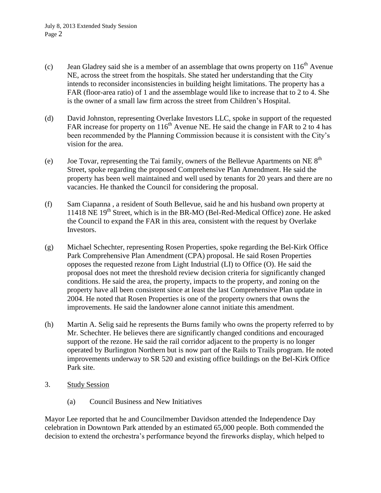- (c) Jean Gladrey said she is a member of an assemblage that owns property on  $116<sup>th</sup>$  Avenue NE, across the street from the hospitals. She stated her understanding that the City intends to reconsider inconsistencies in building height limitations. The property has a FAR (floor-area ratio) of 1 and the assemblage would like to increase that to 2 to 4. She is the owner of a small law firm across the street from Children's Hospital.
- (d) David Johnston, representing Overlake Investors LLC, spoke in support of the requested FAR increase for property on  $116<sup>th</sup>$  Avenue NE. He said the change in FAR to 2 to 4 has been recommended by the Planning Commission because it is consistent with the City's vision for the area.
- (e) Joe Tovar, representing the Tai family, owners of the Bellevue Apartments on NE  $8<sup>th</sup>$ Street, spoke regarding the proposed Comprehensive Plan Amendment. He said the property has been well maintained and well used by tenants for 20 years and there are no vacancies. He thanked the Council for considering the proposal.
- (f) Sam Ciapanna , a resident of South Bellevue, said he and his husband own property at 11418 NE  $19<sup>th</sup>$  Street, which is in the BR-MO (Bel-Red-Medical Office) zone. He asked the Council to expand the FAR in this area, consistent with the request by Overlake Investors.
- (g) Michael Schechter, representing Rosen Properties, spoke regarding the Bel-Kirk Office Park Comprehensive Plan Amendment (CPA) proposal. He said Rosen Properties opposes the requested rezone from Light Industrial (LI) to Office (O). He said the proposal does not meet the threshold review decision criteria for significantly changed conditions. He said the area, the property, impacts to the property, and zoning on the property have all been consistent since at least the last Comprehensive Plan update in 2004. He noted that Rosen Properties is one of the property owners that owns the improvements. He said the landowner alone cannot initiate this amendment.
- (h) Martin A. Selig said he represents the Burns family who owns the property referred to by Mr. Schechter. He believes there are significantly changed conditions and encouraged support of the rezone. He said the rail corridor adjacent to the property is no longer operated by Burlington Northern but is now part of the Rails to Trails program. He noted improvements underway to SR 520 and existing office buildings on the Bel-Kirk Office Park site.
- 3. Study Session
	- (a) Council Business and New Initiatives

Mayor Lee reported that he and Councilmember Davidson attended the Independence Day celebration in Downtown Park attended by an estimated 65,000 people. Both commended the decision to extend the orchestra's performance beyond the fireworks display, which helped to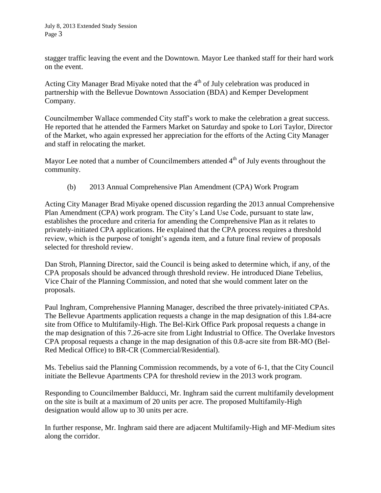stagger traffic leaving the event and the Downtown. Mayor Lee thanked staff for their hard work on the event.

Acting City Manager Brad Miyake noted that the  $4<sup>th</sup>$  of July celebration was produced in partnership with the Bellevue Downtown Association (BDA) and Kemper Development Company.

Councilmember Wallace commended City staff's work to make the celebration a great success. He reported that he attended the Farmers Market on Saturday and spoke to Lori Taylor, Director of the Market, who again expressed her appreciation for the efforts of the Acting City Manager and staff in relocating the market.

Mayor Lee noted that a number of Councilmembers attended  $4<sup>th</sup>$  of July events throughout the community.

(b) 2013 Annual Comprehensive Plan Amendment (CPA) Work Program

Acting City Manager Brad Miyake opened discussion regarding the 2013 annual Comprehensive Plan Amendment (CPA) work program. The City's Land Use Code, pursuant to state law, establishes the procedure and criteria for amending the Comprehensive Plan as it relates to privately-initiated CPA applications. He explained that the CPA process requires a threshold review, which is the purpose of tonight's agenda item, and a future final review of proposals selected for threshold review.

Dan Stroh, Planning Director, said the Council is being asked to determine which, if any, of the CPA proposals should be advanced through threshold review. He introduced Diane Tebelius, Vice Chair of the Planning Commission, and noted that she would comment later on the proposals.

Paul Inghram, Comprehensive Planning Manager, described the three privately-initiated CPAs. The Bellevue Apartments application requests a change in the map designation of this 1.84-acre site from Office to Multifamily-High. The Bel-Kirk Office Park proposal requests a change in the map designation of this 7.26-acre site from Light Industrial to Office. The Overlake Investors CPA proposal requests a change in the map designation of this 0.8-acre site from BR-MO (Bel-Red Medical Office) to BR-CR (Commercial/Residential).

Ms. Tebelius said the Planning Commission recommends, by a vote of 6-1, that the City Council initiate the Bellevue Apartments CPA for threshold review in the 2013 work program.

Responding to Councilmember Balducci, Mr. Inghram said the current multifamily development on the site is built at a maximum of 20 units per acre. The proposed Multifamily-High designation would allow up to 30 units per acre.

In further response, Mr. Inghram said there are adjacent Multifamily-High and MF-Medium sites along the corridor.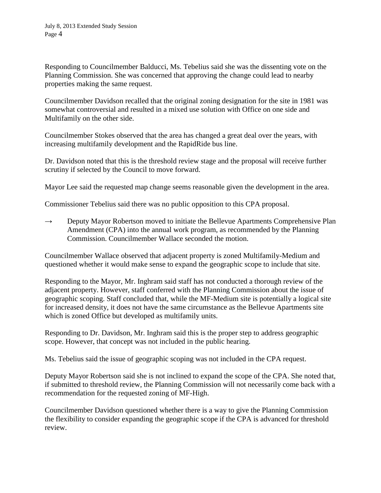Responding to Councilmember Balducci, Ms. Tebelius said she was the dissenting vote on the Planning Commission. She was concerned that approving the change could lead to nearby properties making the same request.

Councilmember Davidson recalled that the original zoning designation for the site in 1981 was somewhat controversial and resulted in a mixed use solution with Office on one side and Multifamily on the other side.

Councilmember Stokes observed that the area has changed a great deal over the years, with increasing multifamily development and the RapidRide bus line.

Dr. Davidson noted that this is the threshold review stage and the proposal will receive further scrutiny if selected by the Council to move forward.

Mayor Lee said the requested map change seems reasonable given the development in the area.

Commissioner Tebelius said there was no public opposition to this CPA proposal.

 $\rightarrow$  Deputy Mayor Robertson moved to initiate the Bellevue Apartments Comprehensive Plan Amendment (CPA) into the annual work program, as recommended by the Planning Commission. Councilmember Wallace seconded the motion.

Councilmember Wallace observed that adjacent property is zoned Multifamily-Medium and questioned whether it would make sense to expand the geographic scope to include that site.

Responding to the Mayor, Mr. Inghram said staff has not conducted a thorough review of the adjacent property. However, staff conferred with the Planning Commission about the issue of geographic scoping. Staff concluded that, while the MF-Medium site is potentially a logical site for increased density, it does not have the same circumstance as the Bellevue Apartments site which is zoned Office but developed as multifamily units.

Responding to Dr. Davidson, Mr. Inghram said this is the proper step to address geographic scope. However, that concept was not included in the public hearing.

Ms. Tebelius said the issue of geographic scoping was not included in the CPA request.

Deputy Mayor Robertson said she is not inclined to expand the scope of the CPA. She noted that, if submitted to threshold review, the Planning Commission will not necessarily come back with a recommendation for the requested zoning of MF-High.

Councilmember Davidson questioned whether there is a way to give the Planning Commission the flexibility to consider expanding the geographic scope if the CPA is advanced for threshold review.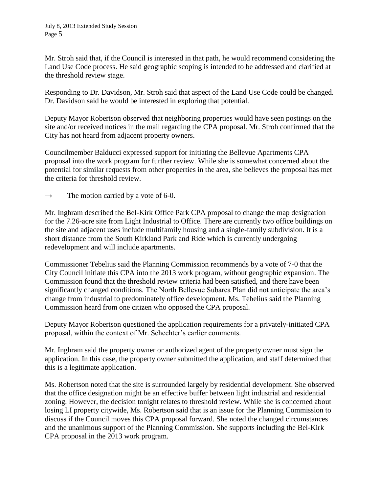Mr. Stroh said that, if the Council is interested in that path, he would recommend considering the Land Use Code process. He said geographic scoping is intended to be addressed and clarified at the threshold review stage.

Responding to Dr. Davidson, Mr. Stroh said that aspect of the Land Use Code could be changed. Dr. Davidson said he would be interested in exploring that potential.

Deputy Mayor Robertson observed that neighboring properties would have seen postings on the site and/or received notices in the mail regarding the CPA proposal. Mr. Stroh confirmed that the City has not heard from adjacent property owners.

Councilmember Balducci expressed support for initiating the Bellevue Apartments CPA proposal into the work program for further review. While she is somewhat concerned about the potential for similar requests from other properties in the area, she believes the proposal has met the criteria for threshold review.

 $\rightarrow$  The motion carried by a vote of 6-0.

Mr. Inghram described the Bel-Kirk Office Park CPA proposal to change the map designation for the 7.26-acre site from Light Industrial to Office. There are currently two office buildings on the site and adjacent uses include multifamily housing and a single-family subdivision. It is a short distance from the South Kirkland Park and Ride which is currently undergoing redevelopment and will include apartments.

Commissioner Tebelius said the Planning Commission recommends by a vote of 7-0 that the City Council initiate this CPA into the 2013 work program, without geographic expansion. The Commission found that the threshold review criteria had been satisfied, and there have been significantly changed conditions. The North Bellevue Subarea Plan did not anticipate the area's change from industrial to predominately office development. Ms. Tebelius said the Planning Commission heard from one citizen who opposed the CPA proposal.

Deputy Mayor Robertson questioned the application requirements for a privately-initiated CPA proposal, within the context of Mr. Schechter's earlier comments.

Mr. Inghram said the property owner or authorized agent of the property owner must sign the application. In this case, the property owner submitted the application, and staff determined that this is a legitimate application.

Ms. Robertson noted that the site is surrounded largely by residential development. She observed that the office designation might be an effective buffer between light industrial and residential zoning. However, the decision tonight relates to threshold review. While she is concerned about losing LI property citywide, Ms. Robertson said that is an issue for the Planning Commission to discuss if the Council moves this CPA proposal forward. She noted the changed circumstances and the unanimous support of the Planning Commission. She supports including the Bel-Kirk CPA proposal in the 2013 work program.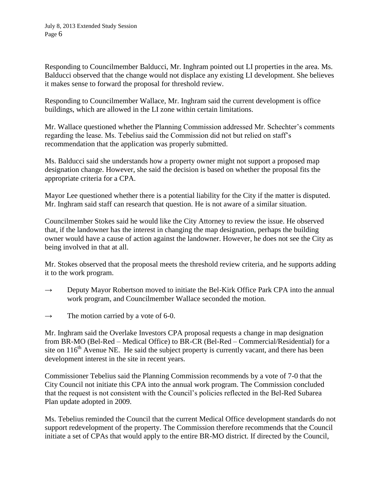Responding to Councilmember Balducci, Mr. Inghram pointed out LI properties in the area. Ms. Balducci observed that the change would not displace any existing LI development. She believes it makes sense to forward the proposal for threshold review.

Responding to Councilmember Wallace, Mr. Inghram said the current development is office buildings, which are allowed in the LI zone within certain limitations.

Mr. Wallace questioned whether the Planning Commission addressed Mr. Schechter's comments regarding the lease. Ms. Tebelius said the Commission did not but relied on staff's recommendation that the application was properly submitted.

Ms. Balducci said she understands how a property owner might not support a proposed map designation change. However, she said the decision is based on whether the proposal fits the appropriate criteria for a CPA.

Mayor Lee questioned whether there is a potential liability for the City if the matter is disputed. Mr. Inghram said staff can research that question. He is not aware of a similar situation.

Councilmember Stokes said he would like the City Attorney to review the issue. He observed that, if the landowner has the interest in changing the map designation, perhaps the building owner would have a cause of action against the landowner. However, he does not see the City as being involved in that at all.

Mr. Stokes observed that the proposal meets the threshold review criteria, and he supports adding it to the work program.

- $\rightarrow$  Deputy Mayor Robertson moved to initiate the Bel-Kirk Office Park CPA into the annual work program, and Councilmember Wallace seconded the motion.
- $\rightarrow$  The motion carried by a vote of 6-0.

Mr. Inghram said the Overlake Investors CPA proposal requests a change in map designation from BR-MO (Bel-Red – Medical Office) to BR-CR (Bel-Red – Commercial/Residential) for a site on  $116<sup>th</sup>$  Avenue NE. He said the subject property is currently vacant, and there has been development interest in the site in recent years.

Commissioner Tebelius said the Planning Commission recommends by a vote of 7-0 that the City Council not initiate this CPA into the annual work program. The Commission concluded that the request is not consistent with the Council's policies reflected in the Bel-Red Subarea Plan update adopted in 2009.

Ms. Tebelius reminded the Council that the current Medical Office development standards do not support redevelopment of the property. The Commission therefore recommends that the Council initiate a set of CPAs that would apply to the entire BR-MO district. If directed by the Council,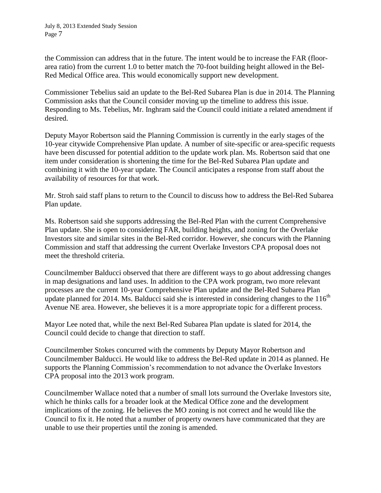the Commission can address that in the future. The intent would be to increase the FAR (floorarea ratio) from the current 1.0 to better match the 70-foot building height allowed in the Bel-Red Medical Office area. This would economically support new development.

Commissioner Tebelius said an update to the Bel-Red Subarea Plan is due in 2014. The Planning Commission asks that the Council consider moving up the timeline to address this issue. Responding to Ms. Tebelius, Mr. Inghram said the Council could initiate a related amendment if desired.

Deputy Mayor Robertson said the Planning Commission is currently in the early stages of the 10-year citywide Comprehensive Plan update. A number of site-specific or area-specific requests have been discussed for potential addition to the update work plan. Ms. Robertson said that one item under consideration is shortening the time for the Bel-Red Subarea Plan update and combining it with the 10-year update. The Council anticipates a response from staff about the availability of resources for that work.

Mr. Stroh said staff plans to return to the Council to discuss how to address the Bel-Red Subarea Plan update.

Ms. Robertson said she supports addressing the Bel-Red Plan with the current Comprehensive Plan update. She is open to considering FAR, building heights, and zoning for the Overlake Investors site and similar sites in the Bel-Red corridor. However, she concurs with the Planning Commission and staff that addressing the current Overlake Investors CPA proposal does not meet the threshold criteria.

Councilmember Balducci observed that there are different ways to go about addressing changes in map designations and land uses. In addition to the CPA work program, two more relevant processes are the current 10-year Comprehensive Plan update and the Bel-Red Subarea Plan update planned for 2014. Ms. Balducci said she is interested in considering changes to the  $116<sup>th</sup>$ Avenue NE area. However, she believes it is a more appropriate topic for a different process.

Mayor Lee noted that, while the next Bel-Red Subarea Plan update is slated for 2014, the Council could decide to change that direction to staff.

Councilmember Stokes concurred with the comments by Deputy Mayor Robertson and Councilmember Balducci. He would like to address the Bel-Red update in 2014 as planned. He supports the Planning Commission's recommendation to not advance the Overlake Investors CPA proposal into the 2013 work program.

Councilmember Wallace noted that a number of small lots surround the Overlake Investors site, which he thinks calls for a broader look at the Medical Office zone and the development implications of the zoning. He believes the MO zoning is not correct and he would like the Council to fix it. He noted that a number of property owners have communicated that they are unable to use their properties until the zoning is amended.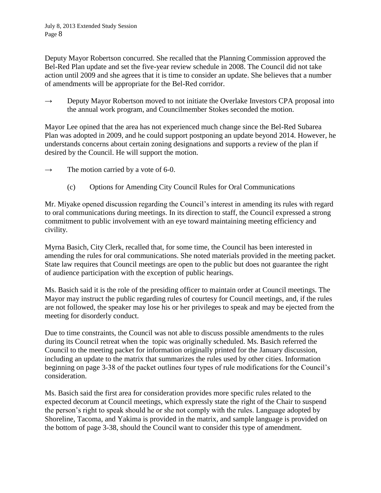Deputy Mayor Robertson concurred. She recalled that the Planning Commission approved the Bel-Red Plan update and set the five-year review schedule in 2008. The Council did not take action until 2009 and she agrees that it is time to consider an update. She believes that a number of amendments will be appropriate for the Bel-Red corridor.

 $\rightarrow$  Deputy Mayor Robertson moved to not initiate the Overlake Investors CPA proposal into the annual work program, and Councilmember Stokes seconded the motion.

Mayor Lee opined that the area has not experienced much change since the Bel-Red Subarea Plan was adopted in 2009, and he could support postponing an update beyond 2014. However, he understands concerns about certain zoning designations and supports a review of the plan if desired by the Council. He will support the motion.

 $\rightarrow$  The motion carried by a vote of 6-0.

(c) Options for Amending City Council Rules for Oral Communications

Mr. Miyake opened discussion regarding the Council's interest in amending its rules with regard to oral communications during meetings. In its direction to staff, the Council expressed a strong commitment to public involvement with an eye toward maintaining meeting efficiency and civility.

Myrna Basich, City Clerk, recalled that, for some time, the Council has been interested in amending the rules for oral communications. She noted materials provided in the meeting packet. State law requires that Council meetings are open to the public but does not guarantee the right of audience participation with the exception of public hearings.

Ms. Basich said it is the role of the presiding officer to maintain order at Council meetings. The Mayor may instruct the public regarding rules of courtesy for Council meetings, and, if the rules are not followed, the speaker may lose his or her privileges to speak and may be ejected from the meeting for disorderly conduct.

Due to time constraints, the Council was not able to discuss possible amendments to the rules during its Council retreat when the topic was originally scheduled. Ms. Basich referred the Council to the meeting packet for information originally printed for the January discussion, including an update to the matrix that summarizes the rules used by other cities. Information beginning on page 3-38 of the packet outlines four types of rule modifications for the Council's consideration.

Ms. Basich said the first area for consideration provides more specific rules related to the expected decorum at Council meetings, which expressly state the right of the Chair to suspend the person's right to speak should he or she not comply with the rules. Language adopted by Shoreline, Tacoma, and Yakima is provided in the matrix, and sample language is provided on the bottom of page 3-38, should the Council want to consider this type of amendment.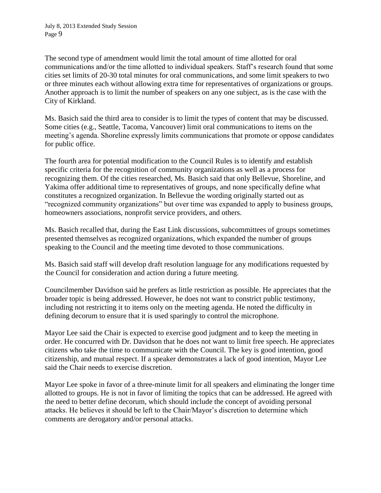The second type of amendment would limit the total amount of time allotted for oral communications and/or the time allotted to individual speakers. Staff's research found that some cities set limits of 20-30 total minutes for oral communications, and some limit speakers to two or three minutes each without allowing extra time for representatives of organizations or groups. Another approach is to limit the number of speakers on any one subject, as is the case with the City of Kirkland.

Ms. Basich said the third area to consider is to limit the types of content that may be discussed. Some cities (e.g., Seattle, Tacoma, Vancouver) limit oral communications to items on the meeting's agenda. Shoreline expressly limits communications that promote or oppose candidates for public office.

The fourth area for potential modification to the Council Rules is to identify and establish specific criteria for the recognition of community organizations as well as a process for recognizing them. Of the cities researched, Ms. Basich said that only Bellevue, Shoreline, and Yakima offer additional time to representatives of groups, and none specifically define what constitutes a recognized organization. In Bellevue the wording originally started out as "recognized community organizations" but over time was expanded to apply to business groups, homeowners associations, nonprofit service providers, and others.

Ms. Basich recalled that, during the East Link discussions, subcommittees of groups sometimes presented themselves as recognized organizations, which expanded the number of groups speaking to the Council and the meeting time devoted to those communications.

Ms. Basich said staff will develop draft resolution language for any modifications requested by the Council for consideration and action during a future meeting.

Councilmember Davidson said he prefers as little restriction as possible. He appreciates that the broader topic is being addressed. However, he does not want to constrict public testimony, including not restricting it to items only on the meeting agenda. He noted the difficulty in defining decorum to ensure that it is used sparingly to control the microphone.

Mayor Lee said the Chair is expected to exercise good judgment and to keep the meeting in order. He concurred with Dr. Davidson that he does not want to limit free speech. He appreciates citizens who take the time to communicate with the Council. The key is good intention, good citizenship, and mutual respect. If a speaker demonstrates a lack of good intention, Mayor Lee said the Chair needs to exercise discretion.

Mayor Lee spoke in favor of a three-minute limit for all speakers and eliminating the longer time allotted to groups. He is not in favor of limiting the topics that can be addressed. He agreed with the need to better define decorum, which should include the concept of avoiding personal attacks. He believes it should be left to the Chair/Mayor's discretion to determine which comments are derogatory and/or personal attacks.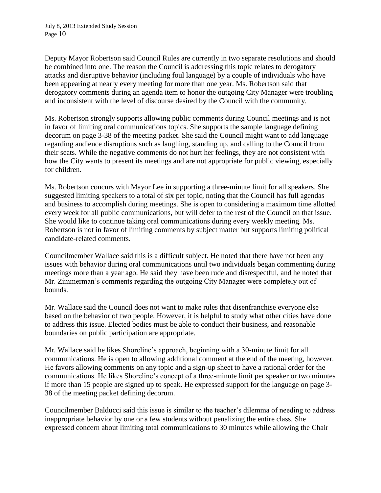Deputy Mayor Robertson said Council Rules are currently in two separate resolutions and should be combined into one. The reason the Council is addressing this topic relates to derogatory attacks and disruptive behavior (including foul language) by a couple of individuals who have been appearing at nearly every meeting for more than one year. Ms. Robertson said that derogatory comments during an agenda item to honor the outgoing City Manager were troubling and inconsistent with the level of discourse desired by the Council with the community.

Ms. Robertson strongly supports allowing public comments during Council meetings and is not in favor of limiting oral communications topics. She supports the sample language defining decorum on page 3-38 of the meeting packet. She said the Council might want to add language regarding audience disruptions such as laughing, standing up, and calling to the Council from their seats. While the negative comments do not hurt her feelings, they are not consistent with how the City wants to present its meetings and are not appropriate for public viewing, especially for children.

Ms. Robertson concurs with Mayor Lee in supporting a three-minute limit for all speakers. She suggested limiting speakers to a total of six per topic, noting that the Council has full agendas and business to accomplish during meetings. She is open to considering a maximum time allotted every week for all public communications, but will defer to the rest of the Council on that issue. She would like to continue taking oral communications during every weekly meeting. Ms. Robertson is not in favor of limiting comments by subject matter but supports limiting political candidate-related comments.

Councilmember Wallace said this is a difficult subject. He noted that there have not been any issues with behavior during oral communications until two individuals began commenting during meetings more than a year ago. He said they have been rude and disrespectful, and he noted that Mr. Zimmerman's comments regarding the outgoing City Manager were completely out of bounds.

Mr. Wallace said the Council does not want to make rules that disenfranchise everyone else based on the behavior of two people. However, it is helpful to study what other cities have done to address this issue. Elected bodies must be able to conduct their business, and reasonable boundaries on public participation are appropriate.

Mr. Wallace said he likes Shoreline's approach, beginning with a 30-minute limit for all communications. He is open to allowing additional comment at the end of the meeting, however. He favors allowing comments on any topic and a sign-up sheet to have a rational order for the communications. He likes Shoreline's concept of a three-minute limit per speaker or two minutes if more than 15 people are signed up to speak. He expressed support for the language on page 3- 38 of the meeting packet defining decorum.

Councilmember Balducci said this issue is similar to the teacher's dilemma of needing to address inappropriate behavior by one or a few students without penalizing the entire class. She expressed concern about limiting total communications to 30 minutes while allowing the Chair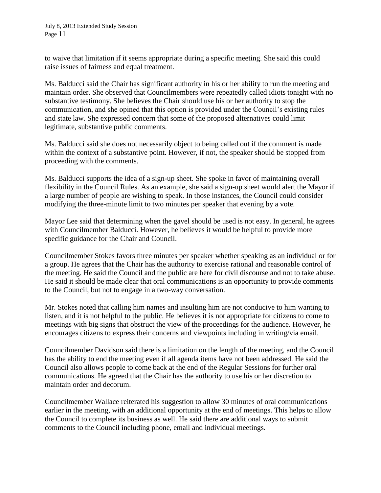to waive that limitation if it seems appropriate during a specific meeting. She said this could raise issues of fairness and equal treatment.

Ms. Balducci said the Chair has significant authority in his or her ability to run the meeting and maintain order. She observed that Councilmembers were repeatedly called idiots tonight with no substantive testimony. She believes the Chair should use his or her authority to stop the communication, and she opined that this option is provided under the Council's existing rules and state law. She expressed concern that some of the proposed alternatives could limit legitimate, substantive public comments.

Ms. Balducci said she does not necessarily object to being called out if the comment is made within the context of a substantive point. However, if not, the speaker should be stopped from proceeding with the comments.

Ms. Balducci supports the idea of a sign-up sheet. She spoke in favor of maintaining overall flexibility in the Council Rules. As an example, she said a sign-up sheet would alert the Mayor if a large number of people are wishing to speak. In those instances, the Council could consider modifying the three-minute limit to two minutes per speaker that evening by a vote.

Mayor Lee said that determining when the gavel should be used is not easy. In general, he agrees with Councilmember Balducci. However, he believes it would be helpful to provide more specific guidance for the Chair and Council.

Councilmember Stokes favors three minutes per speaker whether speaking as an individual or for a group. He agrees that the Chair has the authority to exercise rational and reasonable control of the meeting. He said the Council and the public are here for civil discourse and not to take abuse. He said it should be made clear that oral communications is an opportunity to provide comments to the Council, but not to engage in a two-way conversation.

Mr. Stokes noted that calling him names and insulting him are not conducive to him wanting to listen, and it is not helpful to the public. He believes it is not appropriate for citizens to come to meetings with big signs that obstruct the view of the proceedings for the audience. However, he encourages citizens to express their concerns and viewpoints including in writing/via email.

Councilmember Davidson said there is a limitation on the length of the meeting, and the Council has the ability to end the meeting even if all agenda items have not been addressed. He said the Council also allows people to come back at the end of the Regular Sessions for further oral communications. He agreed that the Chair has the authority to use his or her discretion to maintain order and decorum.

Councilmember Wallace reiterated his suggestion to allow 30 minutes of oral communications earlier in the meeting, with an additional opportunity at the end of meetings. This helps to allow the Council to complete its business as well. He said there are additional ways to submit comments to the Council including phone, email and individual meetings.